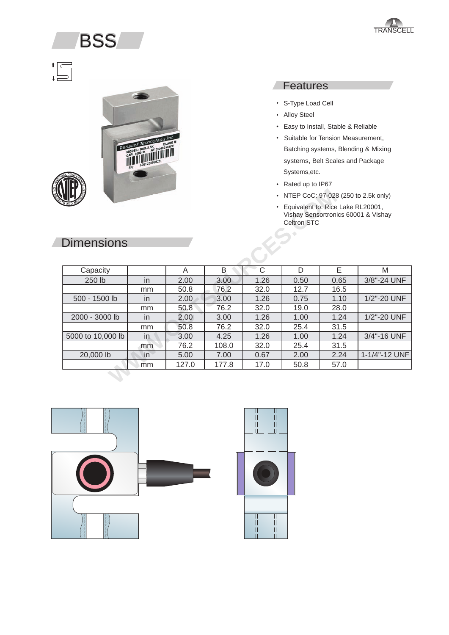## **BSS**

# $\begin{picture}(20,5) \put(0,0){\line(1,0){155}} \put(15,0){\line(1,0){155}} \put(15,0){\line(1,0){155}} \put(15,0){\line(1,0){155}} \put(15,0){\line(1,0){155}} \put(15,0){\line(1,0){155}} \put(15,0){\line(1,0){155}} \put(15,0){\line(1,0){155}} \put(15,0){\line(1,0){155}} \put(15,0){\line(1,0){155}} \put(15,0){\line(1,0){155}} \put$



#### **Features**

- S-Type Load Cell
- Alloy Steel
- Easy to Install, Stable & Reliable
- Batching systems, Blending & Mixing systems, Belt Scales and Package • Suitable for Tension Measurement, Systems,etc.
- Rated up to IP67
- NTEP CoC: 97-028 (250 to 2.5k only)
- Equivalent to: Rice Lake RL20001, Vishay Sensortronics 60001 & Vishay Celtron STC

| <b>Dimensions</b> |     |       |       |      | • NTEP CoC: 97-028 (250 to 2.5k only)<br><b>Celtron STC</b> | Equivalent to: Rice Lake RL20001,<br>Vishay Sensortronics 60001 & Vishay |               |
|-------------------|-----|-------|-------|------|-------------------------------------------------------------|--------------------------------------------------------------------------|---------------|
| Capacity          |     | A     | B     | C    | D                                                           | E                                                                        | M             |
| 250 lb            | in  | 2.00  | 3.00  | 1.26 | 0.50                                                        | 0.65                                                                     | 3/8"-24 UNF   |
|                   | mm  | 50.8  | 76.2  | 32.0 | 12.7                                                        | 16.5                                                                     |               |
| 500 - 1500 lb     | in  | 2.00  | 3.00  | 1.26 | 0.75                                                        | 1.10                                                                     | 1/2"-20 UNF   |
|                   | mm  | 50.8  | 76.2  | 32.0 | 19.0                                                        | 28.0                                                                     |               |
| 2000 - 3000 lb    | in  | 2.00  | 3.00  | 1.26 | 1.00                                                        | 1.24                                                                     | 1/2"-20 UNF   |
|                   | mm  | 50.8  | 76.2  | 32.0 | 25.4                                                        | 31.5                                                                     |               |
| 5000 to 10,000 lb | in. | 3.00  | 4.25  | 1.26 | 1.00                                                        | 1.24                                                                     | 3/4"-16 UNF   |
|                   | mm  | 76.2  | 108.0 | 32.0 | 25.4                                                        | 31.5                                                                     |               |
| 20,000 lb         | in  | 5.00  | 7.00  | 0.67 | 2.00                                                        | 2.24                                                                     | 1-1/4"-12 UNF |
|                   | mm  | 127.0 | 177.8 | 17.0 | 50.8                                                        | 57.0                                                                     |               |
|                   |     |       |       |      |                                                             |                                                                          |               |





#### **Dimensions**